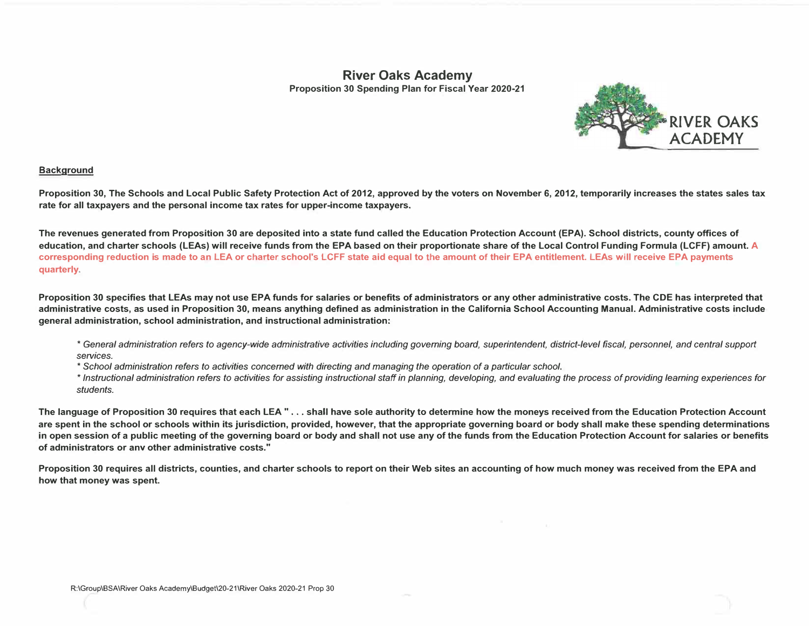## **River Oaks Academy Proposition 30 Spending Plan for Fiscal Year 2020-21**



## **Background**

**Proposition 30, The Schools and Local Public Safety Protection Act of 2012, approved by the voters on November 6, 2012, temporarily increases the states sales tax rate for all taxpayers and the personal income tax rates for upper-income taxpayers.** 

**The revenues generated from Proposition 30 are deposited into a state fund called the Education Protection Account (EPA). School districts, county offices of education, and charter schools (LEAs) will receive funds from the EPA based on their proportionate share of the Local Control Funding Formula (LCFF) amount. A corresponding reduction is made to an LEA or charter school's LCFF state aid equal to the amount of their EPA entitlement. LEAs will receive EPA payments quarterly.** 

**Proposition 30 specifies that LEAs may not use EPA funds for salaries or benefits of administrators or any other administrative costs. The CDE has interpreted that administrative costs, as used in Proposition 30, means anything defined as administration in the California School Accounting Manual. Administrative costs include general administration, school administration, and instructional administration:** 

- *\* General administration refers to agency-wide administrative activities including governing board, superintendent, district-level fiscal, personnel, and central support services.*
- *\* School administration refers to activities concerned with directing and managing the operation of* a *particular school.*

\* *Instructional administration refers to activities for assisting instructional staff in planning, developing, and evaluating the process of providing learning experiences for students.*

**The language of Proposition 30 requires that each LEA " ... shall have sole authority to determine how the moneys received from the Education Protection Account are spent in the school or schools within its jurisdiction, provided, however, that the appropriate governing board or body shall make these spending determinations in open session of a public meeting of the governing board or body and shall not use any of the funds from the Education Protection Account for salaries or benefits of administrators or anv other administrative costs."** 

**Proposition 30 requires all districts, counties, and charter schools to report on their Web sites an accounting of how much money was received from the EPA and how that money was spent.**